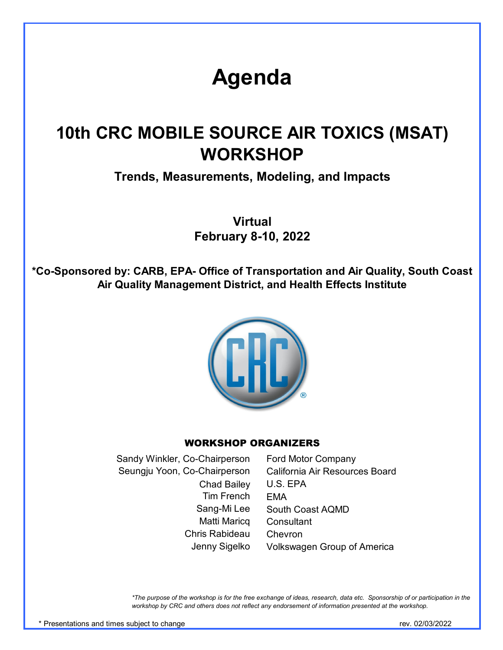# **Agenda**

# **10th CRC MOBILE SOURCE AIR TOXICS (MSAT) WORKSHOP**

**Trends, Measurements, Modeling, and Impacts**

**Virtual February 8-10, 2022**

**\*Co-Sponsored by: CARB, EPA- Office of Transportation and Air Quality, South Coast Air Quality Management District, and Health Effects Institute**



#### WORKSHOP ORGANIZERS

Ford Motor Company California Air Resources Board U.S. EPA EMA South Coast AQMD **Consultant** Chevron Volkswagen Group of America Matti Maricq Chris Rabideau Jenny Sigelko Sandy Winkler, Co-Chairperson Seungju Yoon, Co-Chairperson Chad Bailey Tim French Sang-Mi Lee

*\*The purpose of the workshop is for the free exchange of ideas, research, data etc. Sponsorship of or participation in the workshop by CRC and others does not reflect any endorsement of information presented at the workshop.*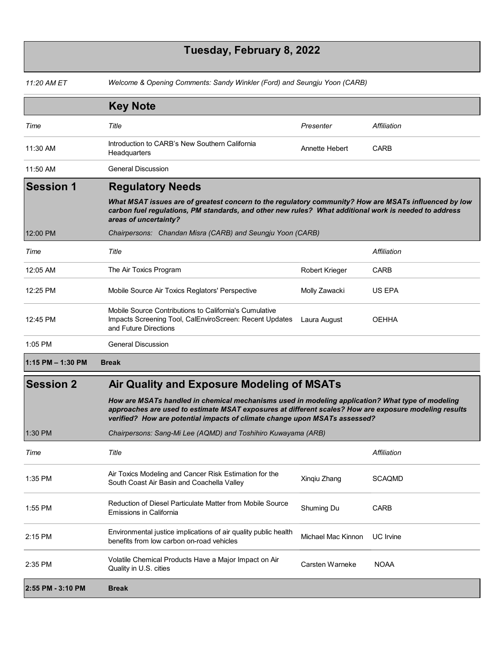## **Tuesday, February 8, 2022**

| 11:20 AM ET           | Welcome & Opening Comments: Sandy Winkler (Ford) and Seungju Yoon (CARB)                                                                                                                                                                                                                |                       |                  |
|-----------------------|-----------------------------------------------------------------------------------------------------------------------------------------------------------------------------------------------------------------------------------------------------------------------------------------|-----------------------|------------------|
|                       | <b>Key Note</b>                                                                                                                                                                                                                                                                         |                       |                  |
| Time                  | Title                                                                                                                                                                                                                                                                                   | Presenter             | Affiliation      |
| 11:30 AM              | Introduction to CARB's New Southern California<br>Headquarters                                                                                                                                                                                                                          | Annette Hebert        | <b>CARB</b>      |
| 11:50 AM              | <b>General Discussion</b>                                                                                                                                                                                                                                                               |                       |                  |
| <b>Session 1</b>      | <b>Regulatory Needs</b>                                                                                                                                                                                                                                                                 |                       |                  |
|                       | What MSAT issues are of greatest concern to the regulatory community? How are MSATs influenced by low<br>carbon fuel regulations, PM standards, and other new rules? What additional work is needed to address<br>areas of uncertainty?                                                 |                       |                  |
| 12:00 PM              | Chairpersons: Chandan Misra (CARB) and Seungju Yoon (CARB)                                                                                                                                                                                                                              |                       |                  |
| Time                  | Title                                                                                                                                                                                                                                                                                   |                       | Affiliation      |
| 12:05 AM              | The Air Toxics Program                                                                                                                                                                                                                                                                  | <b>Robert Krieger</b> | CARB             |
| 12:25 PM              | Mobile Source Air Toxics Reglators' Perspective                                                                                                                                                                                                                                         | Molly Zawacki         | US EPA           |
| 12:45 PM              | Mobile Source Contributions to California's Cumulative<br>Impacts Screening Tool, CalEnviroScreen: Recent Updates<br>and Future Directions                                                                                                                                              | Laura August          | OEHHA            |
| 1:05 PM               | <b>General Discussion</b>                                                                                                                                                                                                                                                               |                       |                  |
| $1:15$ PM $- 1:30$ PM | <b>Break</b>                                                                                                                                                                                                                                                                            |                       |                  |
| <b>Session 2</b>      | Air Quality and Exposure Modeling of MSATs                                                                                                                                                                                                                                              |                       |                  |
|                       | How are MSATs handled in chemical mechanisms used in modeling application? What type of modeling<br>approaches are used to estimate MSAT exposures at different scales? How are exposure modeling results<br>verified? How are potential impacts of climate change upon MSATs assessed? |                       |                  |
| 1:30 PM               | Chairpersons: Sang-Mi Lee (AQMD) and Toshihiro Kuwayama (ARB)                                                                                                                                                                                                                           |                       |                  |
| Time                  | Title                                                                                                                                                                                                                                                                                   |                       | Affiliation      |
| 1:35 PM               | Air Toxics Modeling and Cancer Risk Estimation for the<br>South Coast Air Basin and Coachella Valley                                                                                                                                                                                    | Xinqiu Zhang          | <b>SCAQMD</b>    |
| 1:55 PM               | Reduction of Diesel Particulate Matter from Mobile Source<br>Emissions in California                                                                                                                                                                                                    | Shuming Du            | <b>CARB</b>      |
| 2:15 PM               | Environmental justice implications of air quality public health<br>benefits from low carbon on-road vehicles                                                                                                                                                                            | Michael Mac Kinnon    | <b>UC</b> Irvine |
| 2:35 PM               | Volatile Chemical Products Have a Major Impact on Air<br>Quality in U.S. cities                                                                                                                                                                                                         | Carsten Warneke       | <b>NOAA</b>      |
| 2:55 PM - 3:10 PM     | <b>Break</b>                                                                                                                                                                                                                                                                            |                       |                  |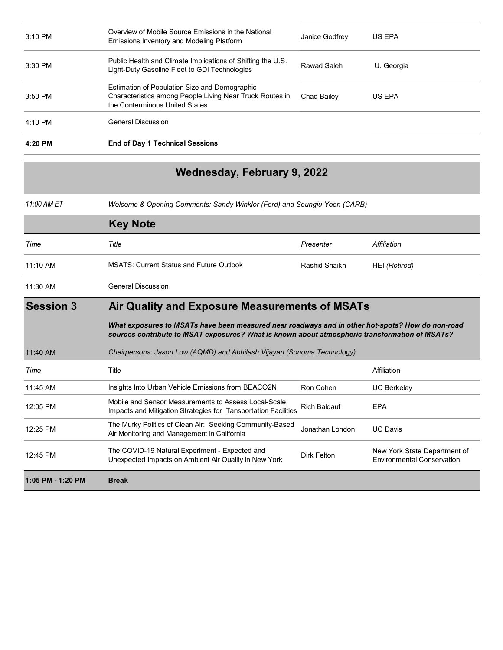| $3:10$ PM | Overview of Mobile Source Emissions in the National<br>Emissions Inventory and Modeling Platform                                            | Janice Godfrey | US EPA     |
|-----------|---------------------------------------------------------------------------------------------------------------------------------------------|----------------|------------|
| $3:30$ PM | Public Health and Climate Implications of Shifting the U.S.<br>Light-Duty Gasoline Fleet to GDI Technologies                                | Rawad Saleh    | U. Georgia |
| $3:50$ PM | Estimation of Population Size and Demographic<br>Characteristics among People Living Near Truck Routes in<br>the Conterminous United States | Chad Bailey    | US EPA     |
| $4:10$ PM | <b>General Discussion</b>                                                                                                                   |                |            |
| 4:20 PM   | <b>End of Day 1 Technical Sessions</b>                                                                                                      |                |            |

### **Wednesday, February 9, 2022**

*11:00 AM ET Welcome & Opening Comments: Sandy Winkler (Ford) and Seungju Yoon (CARB)* 

|                   | <b>Key Note</b>                                                                                                                                                                                    |                     |                                                                   |
|-------------------|----------------------------------------------------------------------------------------------------------------------------------------------------------------------------------------------------|---------------------|-------------------------------------------------------------------|
| Time              | Title                                                                                                                                                                                              | Presenter           | Affiliation                                                       |
| $11:10$ AM        | <b>MSATS: Current Status and Future Outlook</b>                                                                                                                                                    | Rashid Shaikh       | HEI (Retired)                                                     |
| 11:30 AM          | <b>General Discussion</b>                                                                                                                                                                          |                     |                                                                   |
| <b>Session 3</b>  | Air Quality and Exposure Measurements of MSATs                                                                                                                                                     |                     |                                                                   |
|                   | What exposures to MSATs have been measured near roadways and in other hot-spots? How do non-road<br>sources contribute to MSAT exposures? What is known about atmospheric transformation of MSATs? |                     |                                                                   |
| 11:40 AM          | Chairpersons: Jason Low (AQMD) and Abhilash Vijayan (Sonoma Technology)                                                                                                                            |                     |                                                                   |
| Time              | Title                                                                                                                                                                                              |                     | Affiliation                                                       |
| 11:45 AM          | Insights Into Urban Vehicle Emissions from BEACO2N                                                                                                                                                 | Ron Cohen           | <b>UC Berkeley</b>                                                |
| 12:05 PM          | Mobile and Sensor Measurements to Assess Local-Scale<br>Impacts and Mitigation Strategies for Tansportation Facilities                                                                             | <b>Rich Baldauf</b> | <b>EPA</b>                                                        |
| 12:25 PM          | The Murky Politics of Clean Air: Seeking Community-Based<br>Air Monitoring and Management in California                                                                                            | Jonathan London     | <b>UC Davis</b>                                                   |
| 12:45 PM          | The COVID-19 Natural Experiment - Expected and<br>Unexpected Impacts on Ambient Air Quality in New York                                                                                            | Dirk Felton         | New York State Department of<br><b>Environmental Conservation</b> |
| 1:05 PM - 1:20 PM | <b>Break</b>                                                                                                                                                                                       |                     |                                                                   |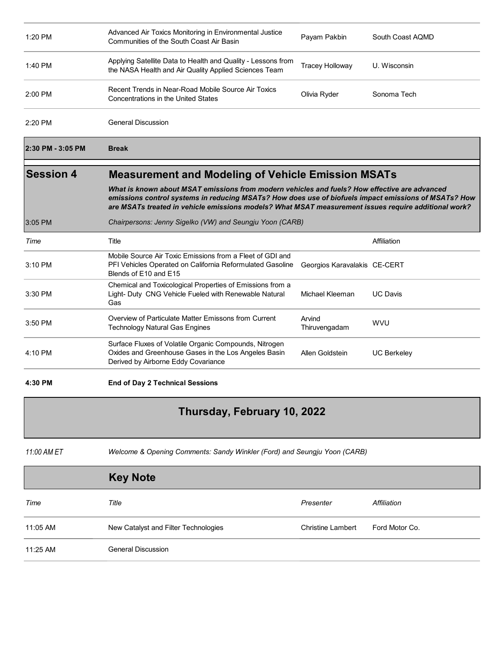| 1:20 PM           | Advanced Air Toxics Monitoring in Environmental Justice<br>Communities of the South Coast Air Basin                                                                                                                                                                                                                                                                        | Payam Pakbin                 | South Coast AQMD   |
|-------------------|----------------------------------------------------------------------------------------------------------------------------------------------------------------------------------------------------------------------------------------------------------------------------------------------------------------------------------------------------------------------------|------------------------------|--------------------|
| 1:40 PM           | Applying Satellite Data to Health and Quality - Lessons from<br>the NASA Health and Air Quality Applied Sciences Team                                                                                                                                                                                                                                                      | <b>Tracey Holloway</b>       | U. Wisconsin       |
| 2:00 PM           | Recent Trends in Near-Road Mobile Source Air Toxics<br>Concentrations in the United States                                                                                                                                                                                                                                                                                 | Olivia Ryder                 | Sonoma Tech        |
| 2:20 PM           | <b>General Discussion</b>                                                                                                                                                                                                                                                                                                                                                  |                              |                    |
| 2:30 PM - 3:05 PM | <b>Break</b>                                                                                                                                                                                                                                                                                                                                                               |                              |                    |
| <b>Session 4</b>  | <b>Measurement and Modeling of Vehicle Emission MSATs</b><br>What is known about MSAT emissions from modern vehicles and fuels? How effective are advanced<br>emissions control systems in reducing MSATs? How does use of biofuels impact emissions of MSATs? How<br>are MSATs treated in vehicle emissions models? What MSAT measurement issues require additional work? |                              |                    |
|                   |                                                                                                                                                                                                                                                                                                                                                                            |                              |                    |
|                   | Chairpersons: Jenny Sigelko (VW) and Seungju Yoon (CARB)                                                                                                                                                                                                                                                                                                                   |                              |                    |
| 3:05 PM           |                                                                                                                                                                                                                                                                                                                                                                            |                              |                    |
| Time              | Title                                                                                                                                                                                                                                                                                                                                                                      |                              | Affiliation        |
| 3:10 PM           | Mobile Source Air Toxic Emissions from a Fleet of GDI and<br>PFI Vehicles Operated on California Reformulated Gasoline<br>Blends of E10 and E15                                                                                                                                                                                                                            | Georgios Karavalakis CE-CERT |                    |
| 3:30 PM           | Chemical and Toxicological Properties of Emissions from a<br>Light- Duty CNG Vehicle Fueled with Renewable Natural<br>Gas                                                                                                                                                                                                                                                  | Michael Kleeman              | <b>UC Davis</b>    |
| 3:50 PM           | Overview of Particulate Matter Emissons from Current<br><b>Technology Natural Gas Engines</b>                                                                                                                                                                                                                                                                              | Arvind<br>Thiruvengadam      | <b>WVU</b>         |
| 4:10 PM           | Surface Fluxes of Volatile Organic Compounds, Nitrogen<br>Oxides and Greenhouse Gases in the Los Angeles Basin<br>Derived by Airborne Eddy Covariance                                                                                                                                                                                                                      | Allen Goldstein              | <b>UC Berkeley</b> |

### **Thursday, February 10, 2022**

*11:00 AM ET Welcome & Opening Comments: Sandy Winkler (Ford) and Seungju Yoon (CARB)* 

|          | <b>Key Note</b>                      |                          |                |
|----------|--------------------------------------|--------------------------|----------------|
| Time     | Title                                | Presenter                | Affiliation    |
| 11:05 AM | New Catalyst and Filter Technologies | <b>Christine Lambert</b> | Ford Motor Co. |
| 11:25 AM | <b>General Discussion</b>            |                          |                |